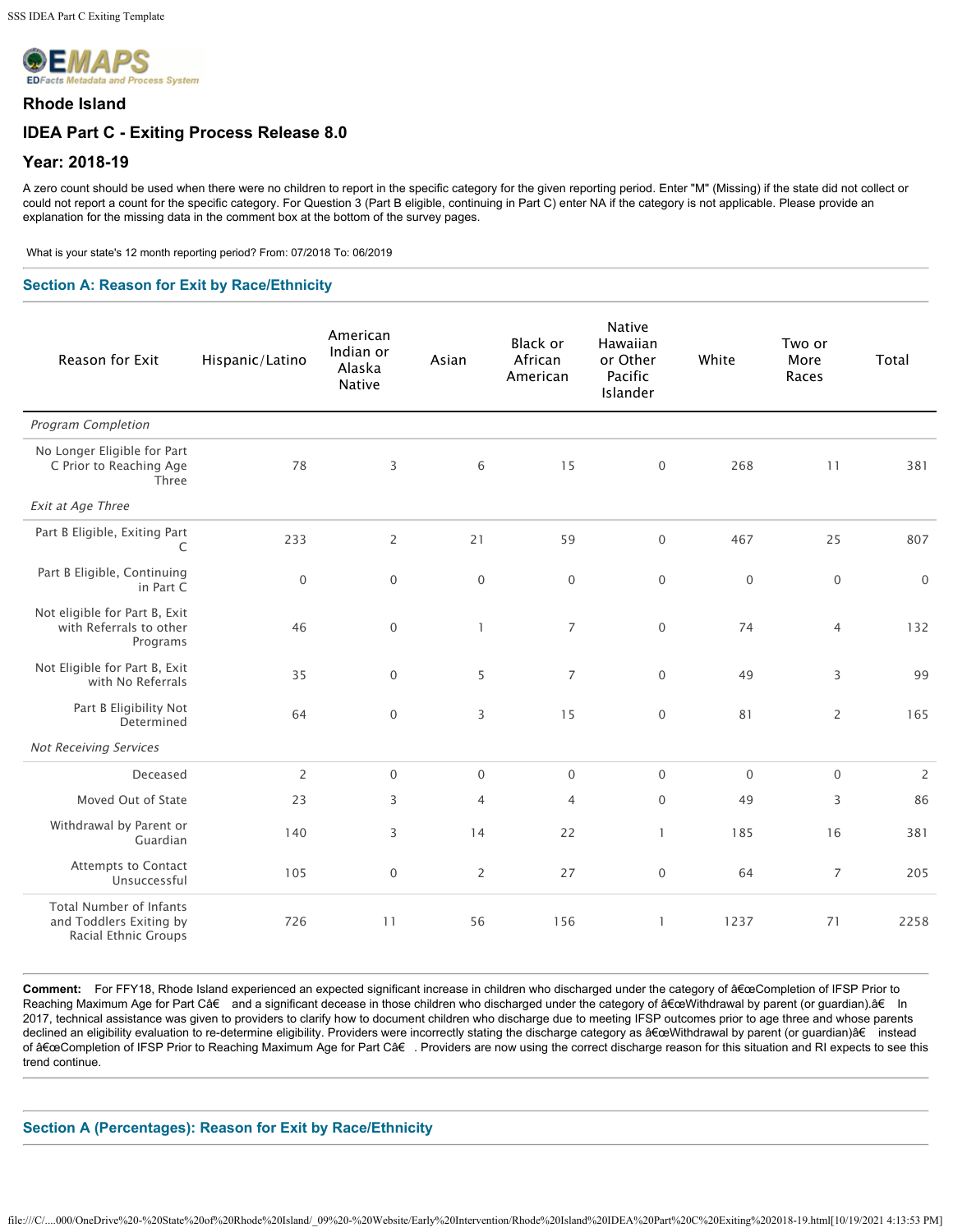

### **Rhode Island**

# **IDEA Part C - Exiting Process Release 8.0**

## **Year: 2018-19**

A zero count should be used when there were no children to report in the specific category for the given reporting period. Enter "M" (Missing) if the state did not collect or could not report a count for the specific category. For Question 3 (Part B eligible, continuing in Part C) enter NA if the category is not applicable. Please provide an explanation for the missing data in the comment box at the bottom of the survey pages.

What is your state's 12 month reporting period? From: 07/2018 To: 06/2019

### **Section A: Reason for Exit by Race/Ethnicity**

| Reason for Exit                                                                   | Hispanic/Latino | American<br>Indian or<br>Alaska<br><b>Native</b> | Asian          | Black or<br>African<br>American | <b>Native</b><br>Hawaiian<br>or Other<br>Pacific<br>Islander | White            | Two or<br>More<br>Races | Total               |
|-----------------------------------------------------------------------------------|-----------------|--------------------------------------------------|----------------|---------------------------------|--------------------------------------------------------------|------------------|-------------------------|---------------------|
| <b>Program Completion</b>                                                         |                 |                                                  |                |                                 |                                                              |                  |                         |                     |
| No Longer Eligible for Part<br>C Prior to Reaching Age<br>Three                   | 78              | 3                                                | 6              | 15                              | $\mathbf 0$                                                  | 268              | 11                      | 381                 |
| Exit at Age Three                                                                 |                 |                                                  |                |                                 |                                                              |                  |                         |                     |
| Part B Eligible, Exiting Part<br>C                                                | 233             | $\overline{2}$                                   | 21             | 59                              | $\mathbf 0$                                                  | 467              | 25                      | 807                 |
| Part B Eligible, Continuing<br>in Part C                                          | $\mathbf 0$     | $\,0\,$                                          | $\mathbf 0$    | $\mathbf 0$                     | $\mathbf 0$                                                  | $\boldsymbol{0}$ | $\,0\,$                 | $\mathsf{O}\xspace$ |
| Not eligible for Part B, Exit<br>with Referrals to other<br>Programs              | 46              | $\mathbf 0$                                      | $\mathbf{1}$   | $\overline{7}$                  | $\mathbf 0$                                                  | 74               | $\overline{4}$          | 132                 |
| Not Eligible for Part B, Exit<br>with No Referrals                                | 35              | $\mathbf 0$                                      | 5              | $\overline{7}$                  | $\mathbf 0$                                                  | 49               | 3                       | 99                  |
| Part B Eligibility Not<br>Determined                                              | 64              | $\mathbf 0$                                      | 3              | 15                              | $\mathbf 0$                                                  | 81               | $\overline{2}$          | 165                 |
| <b>Not Receiving Services</b>                                                     |                 |                                                  |                |                                 |                                                              |                  |                         |                     |
| Deceased                                                                          | $\overline{2}$  | $\mathbf{0}$                                     | $\mathbf 0$    | $\mathbf 0$                     | $\mathbf 0$                                                  | $\mathbf 0$      | $\mathbf 0$             | $\overline{c}$      |
| Moved Out of State                                                                | 23              | 3                                                | $\overline{4}$ | $\overline{4}$                  | $\mathbf 0$                                                  | 49               | 3                       | 86                  |
| Withdrawal by Parent or<br>Guardian                                               | 140             | 3                                                | 14             | 22                              | $\mathbf{1}$                                                 | 185              | 16                      | 381                 |
| <b>Attempts to Contact</b><br>Unsuccessful                                        | 105             | $\mathbf 0$                                      | 2              | 27                              | $\mathbf 0$                                                  | 64               | $\overline{7}$          | 205                 |
| <b>Total Number of Infants</b><br>and Toddlers Exiting by<br>Racial Ethnic Groups | 726             | 11                                               | 56             | 156                             | 1                                                            | 1237             | 71                      | 2258                |

Comment: For FFY18, Rhode Island experienced an expected significant increase in children who discharged under the category of a EceCompletion of IFSP Prior to Reaching Maximum Age for Part C†and a significant decease in those children who discharged under the category of "Withdrawal by parent (or guardian).†In 2017, technical assistance was given to providers to clarify how to document children who discharge due to meeting IFSP outcomes prior to age three and whose parents declined an eligibility evaluation to re-determine eligibility. Providers were incorrectly stating the discharge category as "Withdrawal by parent (or guardian)†instead of "Completion of IFSP Prior to Reaching Maximum Age for Part C†. Providers are now using the correct discharge reason for this situation and RI expects to see this trend continue.

### **Section A (Percentages): Reason for Exit by Race/Ethnicity**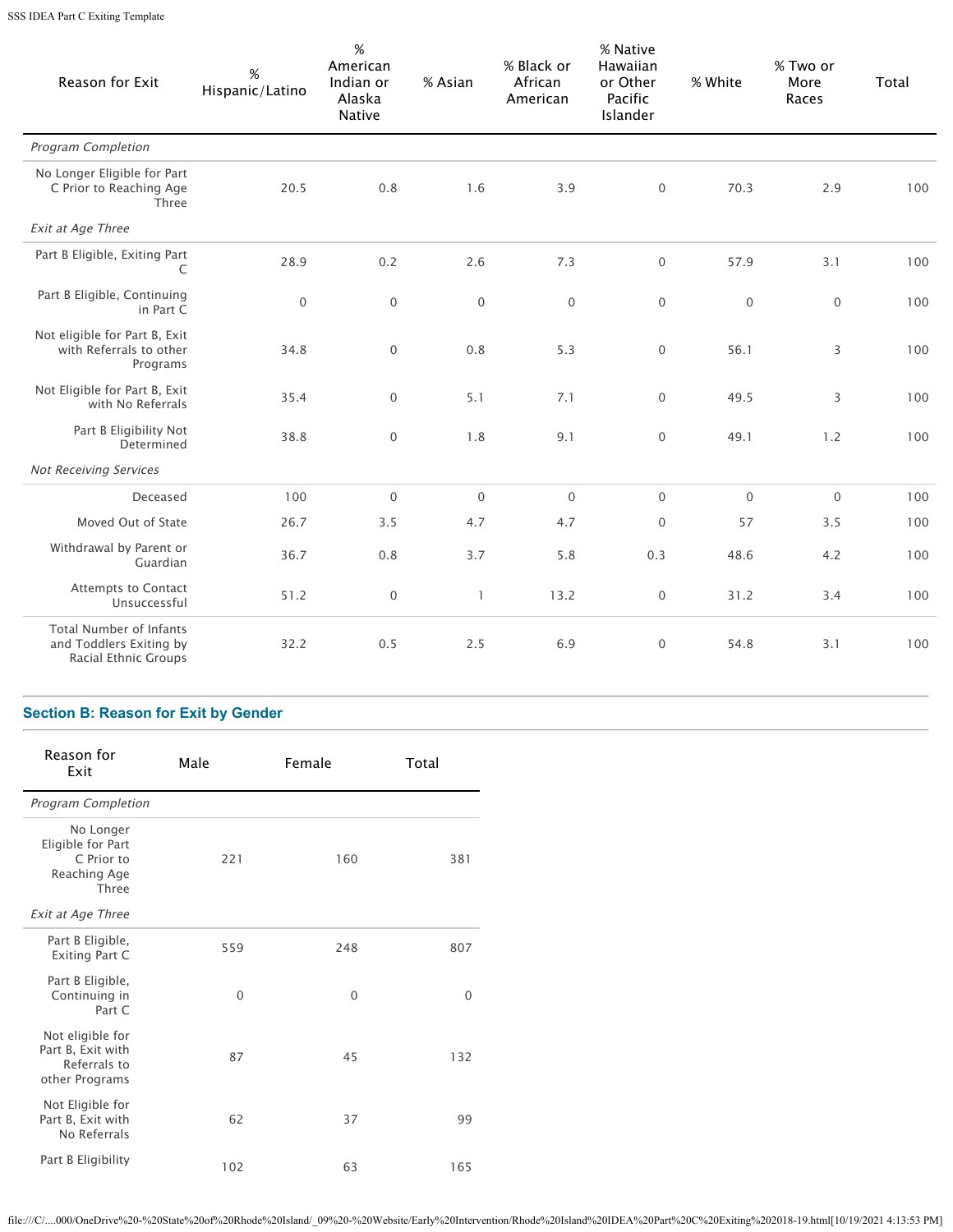SSS IDEA Part C Exiting Template

| Reason for Exit                                                                   | $\%$<br>Hispanic/Latino | $\%$<br>American<br>Indian or<br>Alaska<br><b>Native</b> | % Asian      | % Black or<br>African<br>American | % Native<br>Hawaiian<br>or Other<br>Pacific<br><b>Islander</b> | % White     | % Two or<br>More<br>Races | Total |
|-----------------------------------------------------------------------------------|-------------------------|----------------------------------------------------------|--------------|-----------------------------------|----------------------------------------------------------------|-------------|---------------------------|-------|
| <b>Program Completion</b>                                                         |                         |                                                          |              |                                   |                                                                |             |                           |       |
| No Longer Eligible for Part<br>C Prior to Reaching Age<br>Three                   | 20.5                    | 0.8                                                      | 1.6          | 3.9                               | 0                                                              | 70.3        | 2.9                       | 100   |
| Exit at Age Three                                                                 |                         |                                                          |              |                                   |                                                                |             |                           |       |
| Part B Eligible, Exiting Part<br>C                                                | 28.9                    | 0.2                                                      | 2.6          | 7.3                               | $\boldsymbol{0}$                                               | 57.9        | 3.1                       | 100   |
| Part B Eligible, Continuing<br>in Part C                                          | $\mathbf 0$             | $\mathsf{O}\xspace$                                      | $\mathbf{0}$ | $\mathbf 0$                       | $\boldsymbol{0}$                                               | $\mathbf 0$ | $\mathbf{0}$              | 100   |
| Not eligible for Part B, Exit<br>with Referrals to other<br>Programs              | 34.8                    | $\mathbf{0}$                                             | 0.8          | 5.3                               | $\mathbf{0}$                                                   | 56.1        | 3                         | 100   |
| Not Eligible for Part B, Exit<br>with No Referrals                                | 35.4                    | $\boldsymbol{0}$                                         | 5.1          | 7.1                               | $\boldsymbol{0}$                                               | 49.5        | 3                         | 100   |
| Part B Eligibility Not<br>Determined                                              | 38.8                    | $\boldsymbol{0}$                                         | 1.8          | 9.1                               | $\boldsymbol{0}$                                               | 49.1        | 1.2                       | 100   |
| <b>Not Receiving Services</b>                                                     |                         |                                                          |              |                                   |                                                                |             |                           |       |
| Deceased                                                                          | 100                     | $\mathbf 0$                                              | $\mathbf{0}$ | $\mathbf 0$                       | $\boldsymbol{0}$                                               | $\mathbf 0$ | $\mathbf 0$               | 100   |
| Moved Out of State                                                                | 26.7                    | 3.5                                                      | 4.7          | 4.7                               | $\boldsymbol{0}$                                               | 57          | 3.5                       | 100   |
| Withdrawal by Parent or<br>Guardian                                               | 36.7                    | 0.8                                                      | 3.7          | 5.8                               | 0.3                                                            | 48.6        | 4.2                       | 100   |
| <b>Attempts to Contact</b><br>Unsuccessful                                        | 51.2                    | $\mathbf 0$                                              | $\mathbf{1}$ | 13.2                              | $\mathbf 0$                                                    | 31.2        | 3.4                       | 100   |
| <b>Total Number of Infants</b><br>and Toddlers Exiting by<br>Racial Ethnic Groups | 32.2                    | 0.5                                                      | 2.5          | 6.9                               | $\boldsymbol{0}$                                               | 54.8        | 3.1                       | 100   |

# **Section B: Reason for Exit by Gender**

| Reason for<br>Exit                                                      | Male     | Female   | Total    |
|-------------------------------------------------------------------------|----------|----------|----------|
| <b>Program Completion</b>                                               |          |          |          |
| No Longer<br>Eligible for Part<br>C Prior to<br>Reaching Age<br>Three   | 221      | 160      | 381      |
| <b>Exit at Age Three</b>                                                |          |          |          |
| Part B Eligible,<br>Exiting Part C                                      | 559      | 248      | 807      |
| Part B Eligible,<br>Continuing in<br>Part C                             | $\Omega$ | $\Omega$ | $\Omega$ |
| Not eligible for<br>Part B, Exit with<br>Referrals to<br>other Programs | 87       | 45       | 132      |
| Not Eligible for<br>Part B, Exit with<br>No Referrals                   | 62       | 37       | 99       |
| Part B Eligibility                                                      | 102      | 63       | 165      |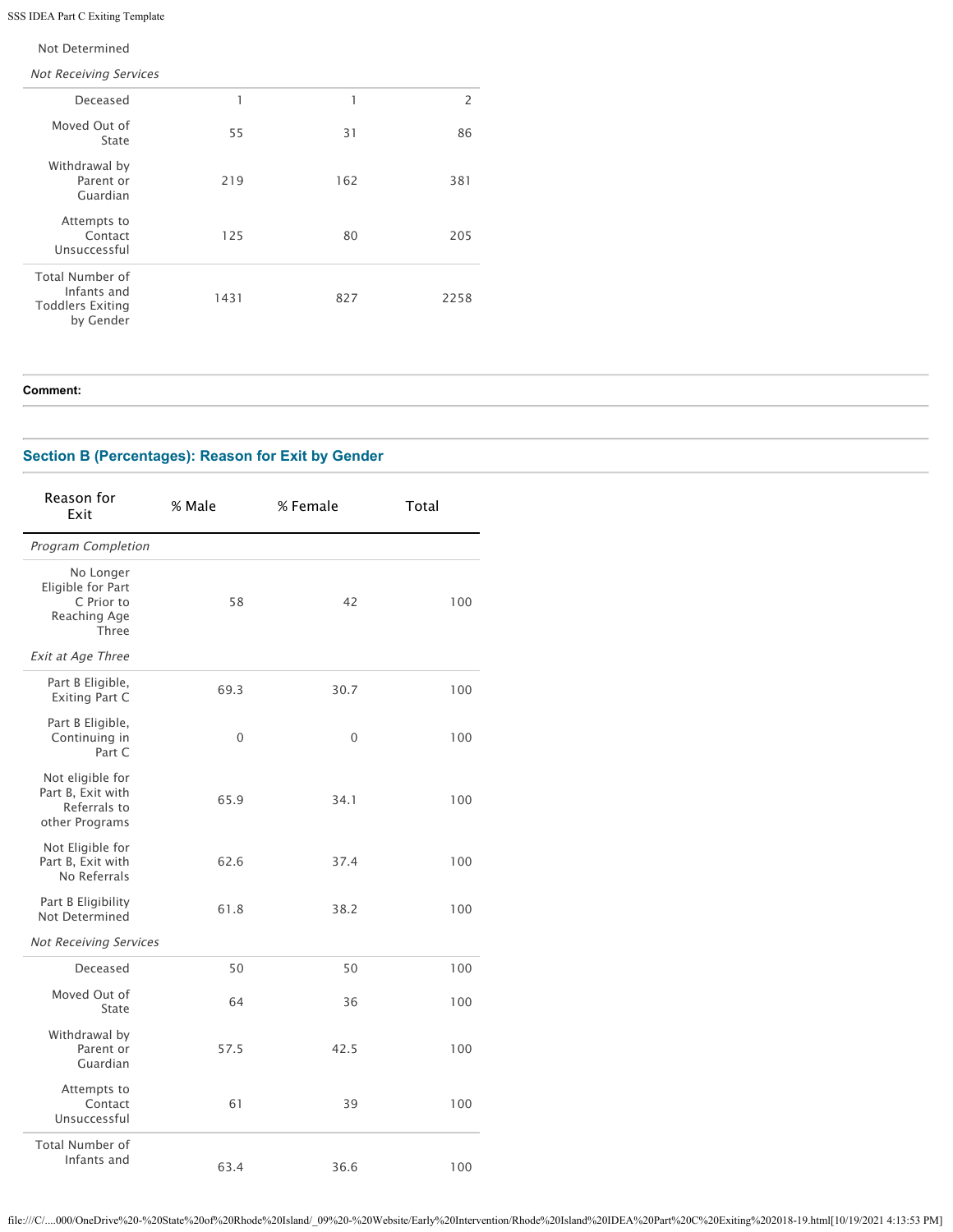## SSS IDEA Part C Exiting Template

### Not Determined

Not Receiving Services

| Deceased                                                                      | 1    |     | $\overline{2}$ |
|-------------------------------------------------------------------------------|------|-----|----------------|
| Moved Out of<br>State                                                         | 55   | 31  | 86             |
| Withdrawal by<br>Parent or<br>Guardian                                        | 219  | 162 | 381            |
| Attempts to<br>Contact<br>Unsuccessful                                        | 125  | 80  | 205            |
| <b>Total Number of</b><br>Infants and<br><b>Toddlers Exiting</b><br>by Gender | 1431 | 827 | 2258           |

**Comment:** 

## **Section B (Percentages): Reason for Exit by Gender**

| Reason for<br>Exit                                                           | % Male | % Female | Total |
|------------------------------------------------------------------------------|--------|----------|-------|
| <b>Program Completion</b>                                                    |        |          |       |
| No Longer<br>Eligible for Part<br>C Prior to<br>Reaching Age<br><b>Three</b> | 58     | 42       | 100   |
| <b>Exit at Age Three</b>                                                     |        |          |       |
| Part B Eligible,<br><b>Exiting Part C</b>                                    | 69.3   | 30.7     | 100   |
| Part B Eligible,<br>Continuing in<br>Part C                                  | 0      | 0        | 100   |
| Not eligible for<br>Part B, Exit with<br>Referrals to<br>other Programs      | 65.9   | 34.1     | 100   |
| Not Eligible for<br>Part B, Exit with<br>No Referrals                        | 62.6   | 37.4     | 100   |
| Part B Eligibility<br>Not Determined                                         | 61.8   | 38.2     | 100   |
| <b>Not Receiving Services</b>                                                |        |          |       |
| Deceased                                                                     | 50     | 50       | 100   |
| Moved Out of<br>State                                                        | 64     | 36       | 100   |
| Withdrawal by<br>Parent or<br>Guardian                                       | 57.5   | 42.5     | 100   |
| Attempts to<br>Contact<br>Unsuccessful                                       | 61     | 39       | 100   |
| <b>Total Number of</b><br>Infants and                                        | 63.4   | 36.6     | 100   |